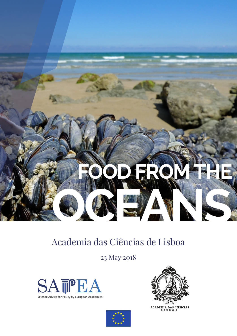

## Academia das Ciências de Lisboa

23 May 2018





ACADEMIA DAS CIÊNCIAS

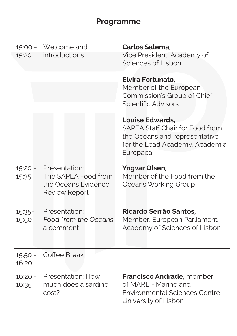## **Programme**

| 15:20              | 15:00 - Welcome and<br>introductions                                                | Carlos Salema,<br>Vice President, Academy of<br>Sciences of Lisbon                                                                       |
|--------------------|-------------------------------------------------------------------------------------|------------------------------------------------------------------------------------------------------------------------------------------|
|                    |                                                                                     | Elvira Fortunato,<br>Member of the European<br>Commission's Group of Chief<br>Scientific Advisors                                        |
|                    |                                                                                     | <b>Louise Edwards,</b><br>SAPEA Staff Chair for Food from<br>the Oceans and representative<br>for the Lead Academy, Academia<br>Europaea |
| $15:20 -$<br>15:35 | Presentation:<br>The SAPEA Food from<br>the Oceans Evidence<br><b>Review Report</b> | <b>Yngvar Olsen,</b><br>Member of the Food from the<br>Oceans Working Group                                                              |
| 15:35-<br>15:50    | Presentation:<br>Food from the Oceans:<br>a comment                                 | Ricardo Serrão Santos,<br>Member, European Parliament<br>Academy of Sciences of Lisbon                                                   |
| $15:50 -$<br>16:20 | Coffee Break                                                                        |                                                                                                                                          |
| $16:20 -$<br>16:35 | Presentation: How<br>much does a sardine<br>cost?                                   | Francisco Andrade, member<br>of MARE - Marine and<br><b>Environmental Sciences Centre</b><br>University of Lisbon                        |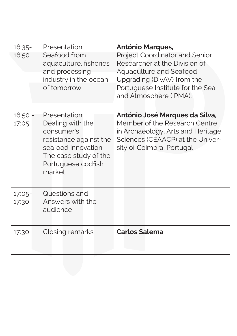| $16:35-$<br>16:50 | Presentation:<br>Seafood from<br>aquaculture, fisheries<br>and processing<br>industry in the ocean<br>of tomorrow                                        | <b>António Marques,</b><br>Project Coordinator and Senior<br>Researcher at the Division of<br>Aquaculture and Seafood<br>Upgrading (DivAV) from the<br>Portuguese Institute for the Sea<br>and Atmosphere (IPMA). |
|-------------------|----------------------------------------------------------------------------------------------------------------------------------------------------------|-------------------------------------------------------------------------------------------------------------------------------------------------------------------------------------------------------------------|
| 16:50 -<br>17:05  | Presentation:<br>Dealing with the<br>consumer's<br>resistance against the<br>seafood innovation<br>The case study of the<br>Portuguese codfish<br>market | António José Marques da Silva,<br>Member of the Research Centre<br>in Archaeology, Arts and Heritage<br>Sciences (CEAACP) at the Univer-<br>sity of Coimbra, Portugal                                             |
| 17:05-<br>17:30   | Questions and<br>Answers with the<br>audience                                                                                                            |                                                                                                                                                                                                                   |
| 17:30             | Closing remarks                                                                                                                                          | <b>Carlos Salema</b>                                                                                                                                                                                              |
|                   |                                                                                                                                                          |                                                                                                                                                                                                                   |